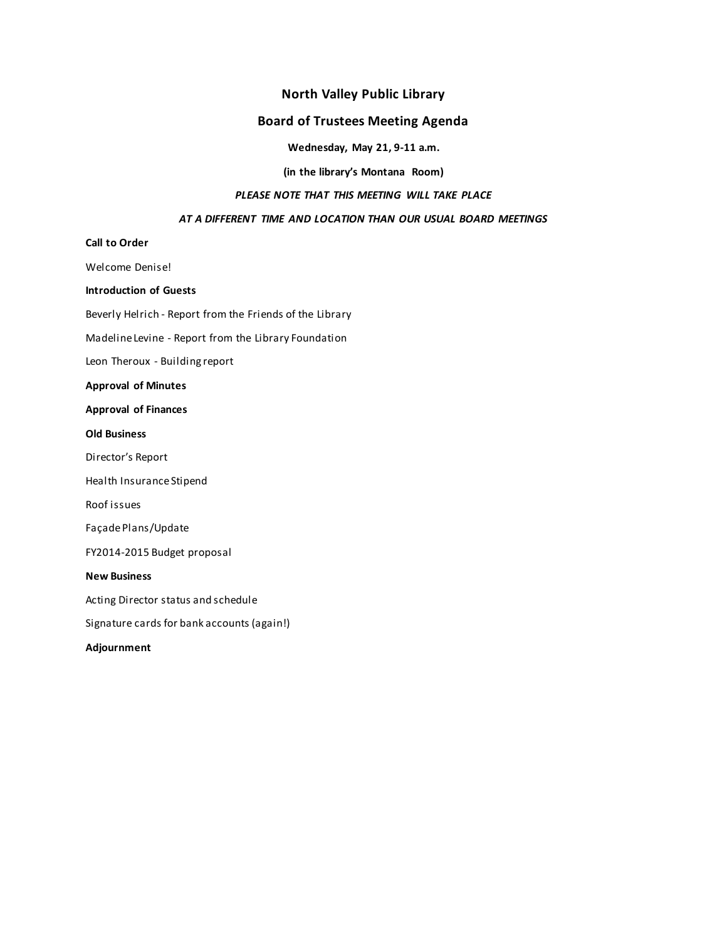# **North Valley Public Library**

# **Board of Trustees Meeting Agenda**

**Wednesday, May 21, 9-11 a.m.**

**(in the library's Montana Room)**

### *PLEASE NOTE THAT THIS MEETING WILL TAKE PLACE*

#### *AT A DIFFERENT TIME AND LOCATION THAN OUR USUAL BOARD MEETINGS*

# **Call to Order**

Welcome Denise!

**Introduction of Guests**

Beverly Helrich - Report from the Friends of the Library

Madeline Levine - Report from the Library Foundation

Leon Theroux - Building report

### **Approval of Minutes**

**Approval of Finances**

#### **Old Business**

Director's Report

Health Insurance Stipend

Roof issues

FaçadePlans/Update

FY2014-2015 Budget proposal

#### **New Business**

Acting Director status and schedule

Signature cards for bank accounts (again!)

**Adjournment**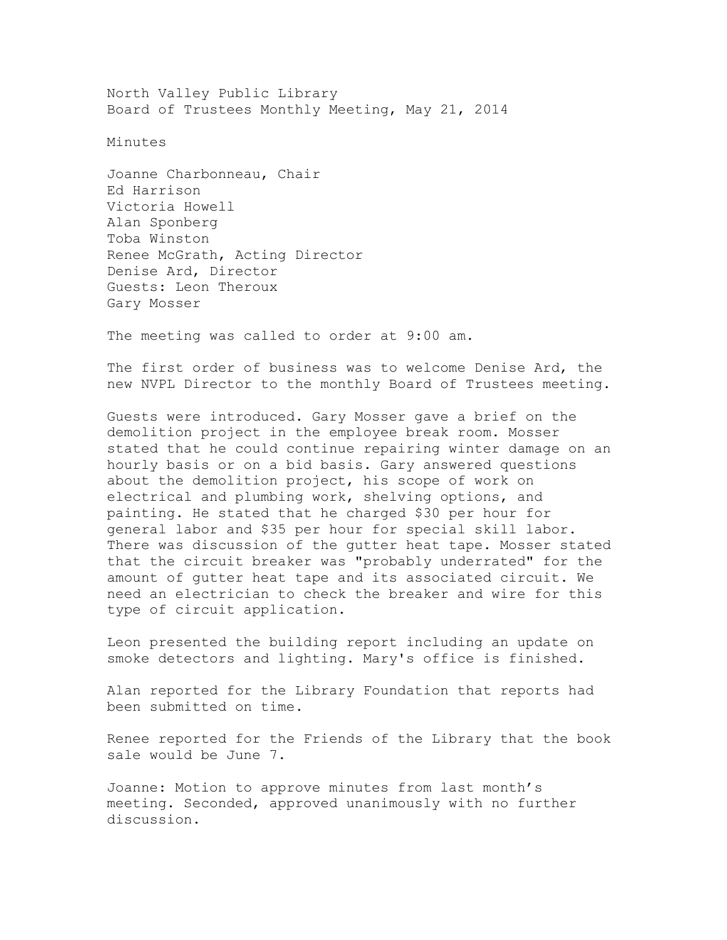North Valley Public Library Board of Trustees Monthly Meeting, May 21, 2014

Minutes

Joanne Charbonneau, Chair Ed Harrison Victoria Howell Alan Sponberg Toba Winston Renee McGrath, Acting Director Denise Ard, Director Guests: Leon Theroux Gary Mosser

The meeting was called to order at 9:00 am.

The first order of business was to welcome Denise Ard, the new NVPL Director to the monthly Board of Trustees meeting.

Guests were introduced. Gary Mosser gave a brief on the demolition project in the employee break room. Mosser stated that he could continue repairing winter damage on an hourly basis or on a bid basis. Gary answered questions about the demolition project, his scope of work on electrical and plumbing work, shelving options, and painting. He stated that he charged \$30 per hour for general labor and \$35 per hour for special skill labor. There was discussion of the gutter heat tape. Mosser stated that the circuit breaker was "probably underrated" for the amount of gutter heat tape and its associated circuit. We need an electrician to check the breaker and wire for this type of circuit application.

Leon presented the building report including an update on smoke detectors and lighting. Mary's office is finished.

Alan reported for the Library Foundation that reports had been submitted on time.

Renee reported for the Friends of the Library that the book sale would be June 7.

Joanne: Motion to approve minutes from last month's meeting. Seconded, approved unanimously with no further discussion.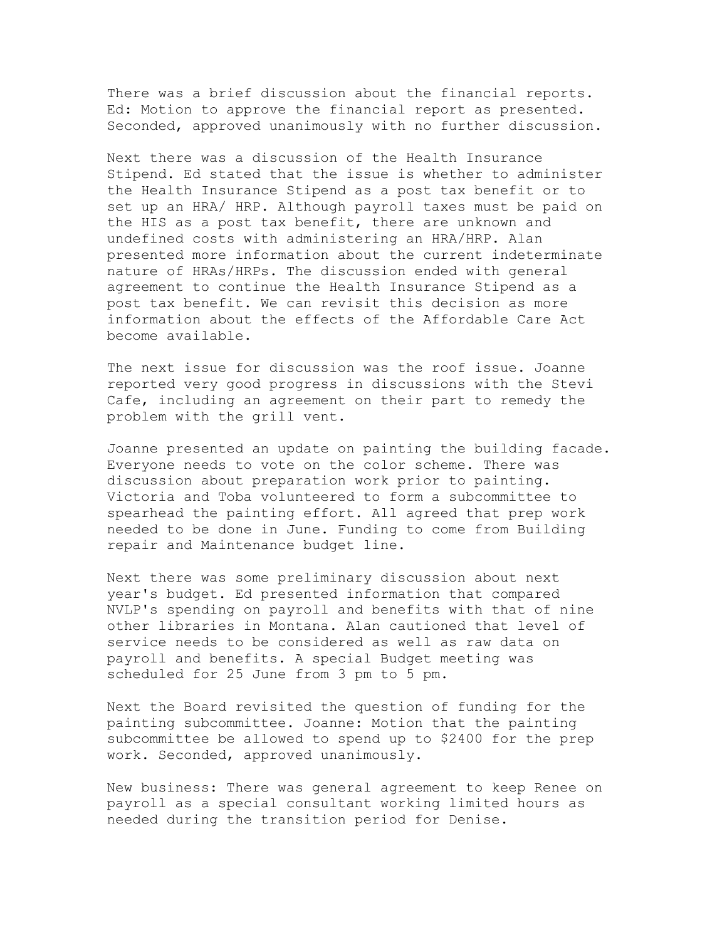There was a brief discussion about the financial reports. Ed: Motion to approve the financial report as presented. Seconded, approved unanimously with no further discussion.

Next there was a discussion of the Health Insurance Stipend. Ed stated that the issue is whether to administer the Health Insurance Stipend as a post tax benefit or to set up an HRA/ HRP. Although payroll taxes must be paid on the HIS as a post tax benefit, there are unknown and undefined costs with administering an HRA/HRP. Alan presented more information about the current indeterminate nature of HRAs/HRPs. The discussion ended with general agreement to continue the Health Insurance Stipend as a post tax benefit. We can revisit this decision as more information about the effects of the Affordable Care Act become available.

The next issue for discussion was the roof issue. Joanne reported very good progress in discussions with the Stevi Cafe, including an agreement on their part to remedy the problem with the grill vent.

Joanne presented an update on painting the building facade. Everyone needs to vote on the color scheme. There was discussion about preparation work prior to painting. Victoria and Toba volunteered to form a subcommittee to spearhead the painting effort. All agreed that prep work needed to be done in June. Funding to come from Building repair and Maintenance budget line.

Next there was some preliminary discussion about next year's budget. Ed presented information that compared NVLP's spending on payroll and benefits with that of nine other libraries in Montana. Alan cautioned that level of service needs to be considered as well as raw data on payroll and benefits. A special Budget meeting was scheduled for 25 June from 3 pm to 5 pm.

Next the Board revisited the question of funding for the painting subcommittee. Joanne: Motion that the painting subcommittee be allowed to spend up to \$2400 for the prep work. Seconded, approved unanimously.

New business: There was general agreement to keep Renee on payroll as a special consultant working limited hours as needed during the transition period for Denise.